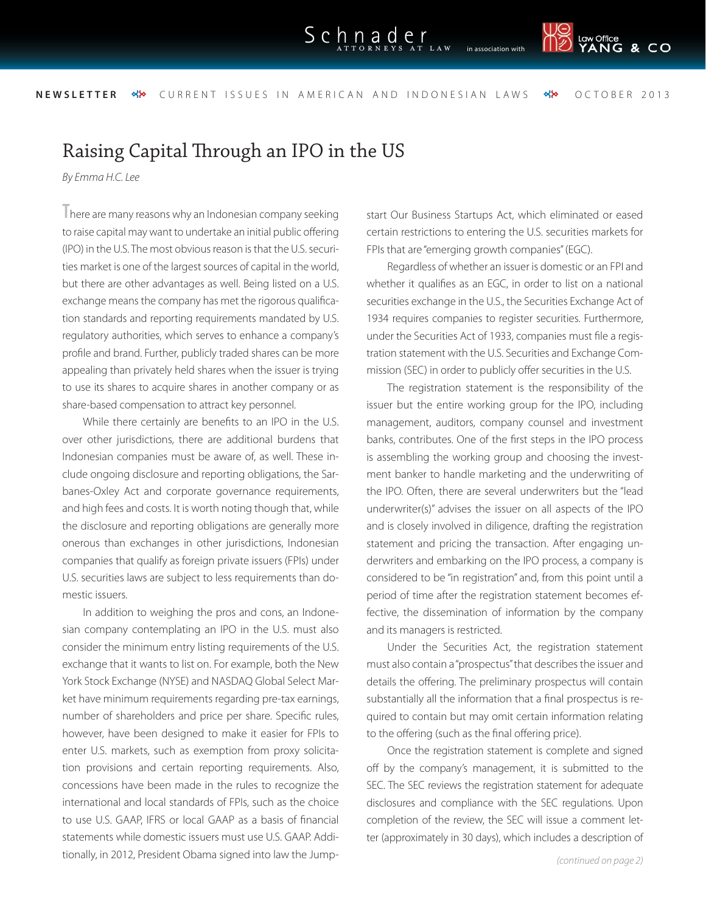<sub>Law Office</sub><br>YANG & CO

**NEWSLETTER •• YOURRENT ISSUES IN AMERICAN AND INDONESIAN LAWS •• OCTOBER 2013** 

## Raising Capital Through an IPO in the US

*By Emma H.C. Lee*

**T**here are many reasons why an Indonesian company seeking to raise capital may want to undertake an initial public offering (IPO) in the U.S. The most obvious reason is that the U.S. securities market is one of the largest sources of capital in the world, but there are other advantages as well. Being listed on a U.S. exchange means the company has met the rigorous qualification standards and reporting requirements mandated by U.S. regulatory authorities, which serves to enhance a company's profile and brand. Further, publicly traded shares can be more appealing than privately held shares when the issuer is trying to use its shares to acquire shares in another company or as share-based compensation to attract key personnel.

While there certainly are benefits to an IPO in the U.S. over other jurisdictions, there are additional burdens that Indonesian companies must be aware of, as well. These include ongoing disclosure and reporting obligations, the Sarbanes-Oxley Act and corporate governance requirements, and high fees and costs. It is worth noting though that, while the disclosure and reporting obligations are generally more onerous than exchanges in other jurisdictions, Indonesian companies that qualify as foreign private issuers (FPIs) under U.S. securities laws are subject to less requirements than domestic issuers.

In addition to weighing the pros and cons, an Indonesian company contemplating an IPO in the U.S. must also consider the minimum entry listing requirements of the U.S. exchange that it wants to list on. For example, both the New York Stock Exchange (NYSE) and NASDAQ Global Select Market have minimum requirements regarding pre-tax earnings, number of shareholders and price per share. Specific rules, however, have been designed to make it easier for FPIs to enter U.S. markets, such as exemption from proxy solicitation provisions and certain reporting requirements. Also, concessions have been made in the rules to recognize the international and local standards of FPIs, such as the choice to use U.S. GAAP, IFRS or local GAAP as a basis of financial statements while domestic issuers must use U.S. GAAP. Additionally, in 2012, President Obama signed into law the Jumpstart Our Business Startups Act, which eliminated or eased certain restrictions to entering the U.S. securities markets for FPIs that are "emerging growth companies" (EGC).

Regardless of whether an issuer is domestic or an FPI and whether it qualifies as an EGC, in order to list on a national securities exchange in the U.S., the Securities Exchange Act of 1934 requires companies to register securities. Furthermore, under the Securities Act of 1933, companies must file a registration statement with the U.S. Securities and Exchange Commission (SEC) in order to publicly offer securities in the U.S.

The registration statement is the responsibility of the issuer but the entire working group for the IPO, including management, auditors, company counsel and investment banks, contributes. One of the first steps in the IPO process is assembling the working group and choosing the investment banker to handle marketing and the underwriting of the IPO. Often, there are several underwriters but the "lead underwriter(s)" advises the issuer on all aspects of the IPO and is closely involved in diligence, drafting the registration statement and pricing the transaction. After engaging underwriters and embarking on the IPO process, a company is considered to be "in registration" and, from this point until a period of time after the registration statement becomes effective, the dissemination of information by the company and its managers is restricted.

Under the Securities Act, the registration statement must also contain a "prospectus" that describes the issuer and details the offering. The preliminary prospectus will contain substantially all the information that a final prospectus is required to contain but may omit certain information relating to the offering (such as the final offering price).

Once the registration statement is complete and signed off by the company's management, it is submitted to the SEC. The SEC reviews the registration statement for adequate disclosures and compliance with the SEC regulations. Upon completion of the review, the SEC will issue a comment letter (approximately in 30 days), which includes a description of